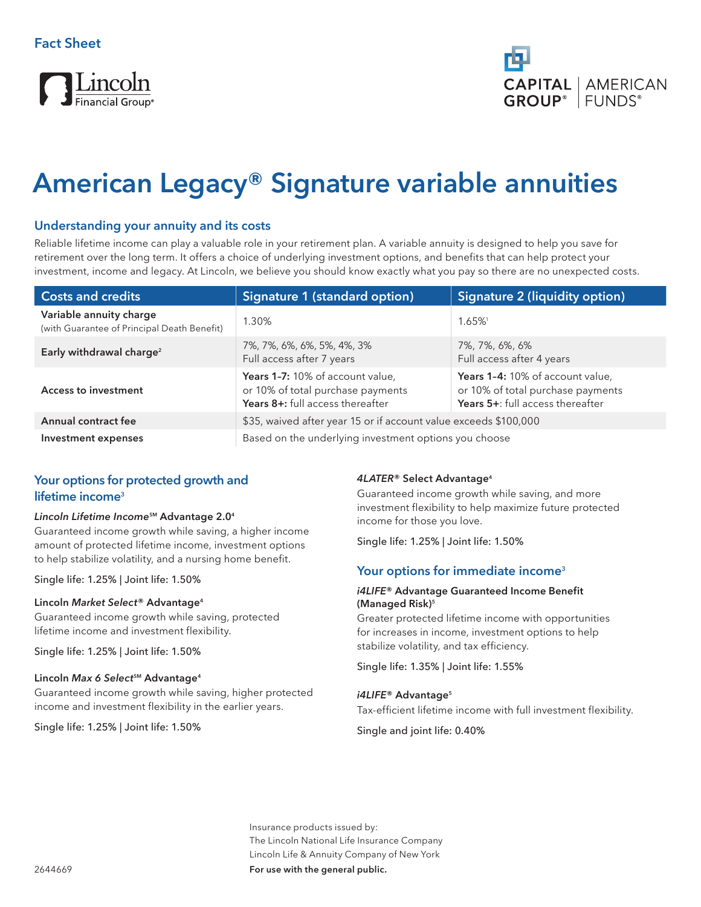# Lincoln

# **American Legacy® Signature variable annuities**

# **Understanding your annuity and its costs**

Reliable lifetime income can play a valuable role in your retirement plan. A variable annuity is designed to help you save for retirement over the long term. It offers a choice of underlying investment options, and benefits that can help protect your investment, income and legacy. At Lincoln, we believe you should know exactly what you pay so there are no unexpected costs.

| <b>Costs and credits</b>                                               | Signature 1 (standard option)                                                                             | Signature 2 (liquidity option)                                                                            |
|------------------------------------------------------------------------|-----------------------------------------------------------------------------------------------------------|-----------------------------------------------------------------------------------------------------------|
| Variable annuity charge<br>(with Guarantee of Principal Death Benefit) | 1.30%                                                                                                     | 1.65%                                                                                                     |
| Early withdrawal charge <sup>2</sup>                                   | 7%, 7%, 6%, 6%, 5%, 4%, 3%<br>Full access after 7 years                                                   | 7%, 7%, 6%, 6%<br>Full access after 4 years                                                               |
| <b>Access to investment</b>                                            | Years 1-7: 10% of account value,<br>or 10% of total purchase payments<br>Years 8+: full access thereafter | Years 1-4: 10% of account value,<br>or 10% of total purchase payments<br>Years 5+: full access thereafter |
| Annual contract fee                                                    | \$35, waived after year 15 or if account value exceeds \$100,000                                          |                                                                                                           |
| Investment expenses                                                    | Based on the underlying investment options you choose                                                     |                                                                                                           |

# **Your options for protected growth and lifetime income3**

#### *Lincoln Lifetime Income***SM Advantage 2.04**

Guaranteed income growth while saving, a higher income amount of protected lifetime income, investment options to help stabilize volatility, and a nursing home benefit.

Single life: 1.25% | Joint life: 1.50%

#### **Lincoln** *Market Select***® Advantage4**

Guaranteed income growth while saving, protected lifetime income and investment flexibility.

Single life: 1.25% | Joint life: 1.50%

#### **Lincoln Max 6 Select<sup>5M</sup> Advantage<sup>4</sup>**

Guaranteed income growth while saving, higher protected income and investment flexibility in the earlier years.

Single life: 1.25% | Joint life: 1.50%

#### *4LATER***® Select Advantage4**

Guaranteed income growth while saving, and more investment flexibility to help maximize future protected income for those you love.

Single life: 1.25% | Joint life: 1.50%

# **Your options for immediate income3**

#### *i4LIFE***® Advantage Guaranteed Income Benefit (Managed Risk)5**

Greater protected lifetime income with opportunities for increases in income, investment options to help stabilize volatility, and tax efficiency.

Single life: 1.35% | Joint life: 1.55%

#### *i4LIFE***® Advantage5**

Tax-efficient lifetime income with full investment flexibility.

Single and joint life: 0.40%

Insurance products issued by: The Lincoln National Life Insurance Company Lincoln Life & Annuity Company of New York **For use with the general public.**